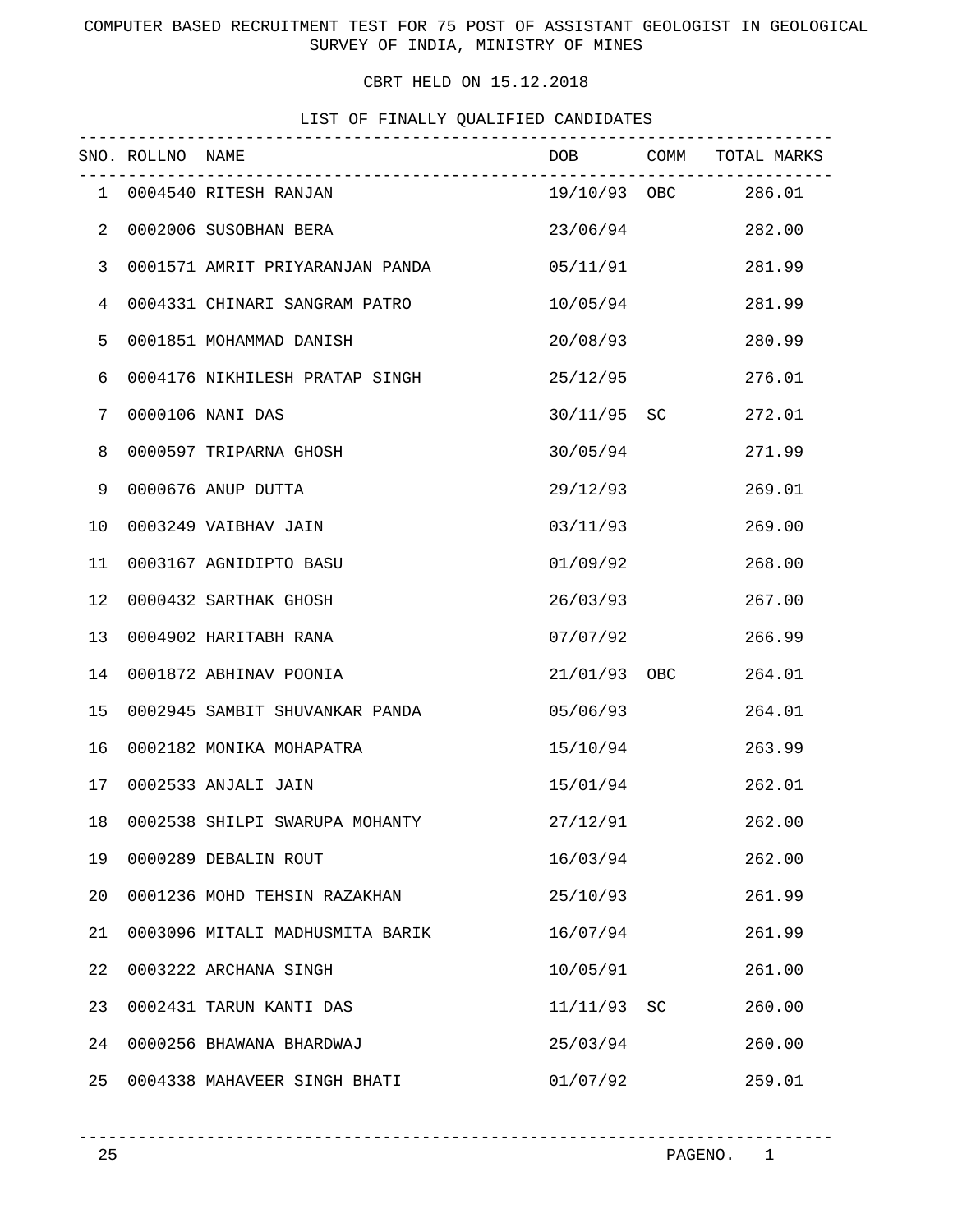COMPUTER BASED RECRUITMENT TEST FOR 75 POST OF ASSISTANT GEOLOGIST IN GEOLOGICAL SURVEY OF INDIA, MINISTRY OF MINES

CBRT HELD ON 15.12.2018

# LIST OF FINALLY QUALIFIED CANDIDATES

|                | SNO. ROLLNO NAME |                                 | ----------------------- | DOB COMM TOTAL MARKS |
|----------------|------------------|---------------------------------|-------------------------|----------------------|
|                |                  | 1 0004540 RITESH RANJAN         |                         | 19/10/93 OBC 286.01  |
| 2              |                  | 0002006 SUSOBHAN BERA           | 23/06/94                | 282.00               |
| $\mathsf{3}$   |                  | 0001571 AMRIT PRIYARANJAN PANDA | 05/11/91                | 281.99               |
| $\overline{4}$ |                  | 0004331 CHINARI SANGRAM PATRO   | 10/05/94                | 281.99               |
| 5              |                  | 0001851 MOHAMMAD DANISH         | 20/08/93                | 280.99               |
| 6              |                  | 0004176 NIKHILESH PRATAP SINGH  | 25/12/95                | 276.01               |
| 7              |                  | 0000106 NANI DAS                | 30/11/95 SC             | 272.01               |
| 8              |                  | 0000597 TRIPARNA GHOSH          | 30/05/94                | 271.99               |
| 9              |                  | 0000676 ANUP DUTTA              | 29/12/93                | 269.01               |
| 10             |                  | 0003249 VAIBHAV JAIN            | 03/11/93                | 269.00               |
| 11             |                  | 0003167 AGNIDIPTO BASU          | 01/09/92                | 268.00               |
| 12             |                  | 0000432 SARTHAK GHOSH           | 26/03/93                | 267.00               |
| 13             |                  | 0004902 HARITABH RANA           | 07/07/92                | 266.99               |
| 14             |                  | 0001872 ABHINAV POONIA          | 21/01/93 OBC            | 264.01               |
| 15             |                  | 0002945 SAMBIT SHUVANKAR PANDA  | 05/06/93                | 264.01               |
| 16             |                  | 0002182 MONIKA MOHAPATRA        | 15/10/94                | 263.99               |
| 17             |                  | 0002533 ANJALI JAIN             | 15/01/94                | 262.01               |
| 18             |                  | 0002538 SHILPI SWARUPA MOHANTY  | 27/12/91                | 262.00               |
| 19             |                  | 0000289 DEBALIN ROUT            | 16/03/94                | 262.00               |
| 20             |                  | 0001236 MOHD TEHSIN RAZAKHAN    | 25/10/93                | 261.99               |
| 21             |                  | 0003096 MITALI MADHUSMITA BARIK | 16/07/94                | 261.99               |
| 22             |                  | 0003222 ARCHANA SINGH           | 10/05/91                | 261.00               |
| 23             |                  | 0002431 TARUN KANTI DAS         | 11/11/93 SC             | 260.00               |
| 24             |                  | 0000256 BHAWANA BHARDWAJ        | 25/03/94                | 260.00               |
| 25             |                  | 0004338 MAHAVEER SINGH BHATI    | 01/07/92                | 259.01               |

----------------------------------------------------------------------------- PAGENO. 1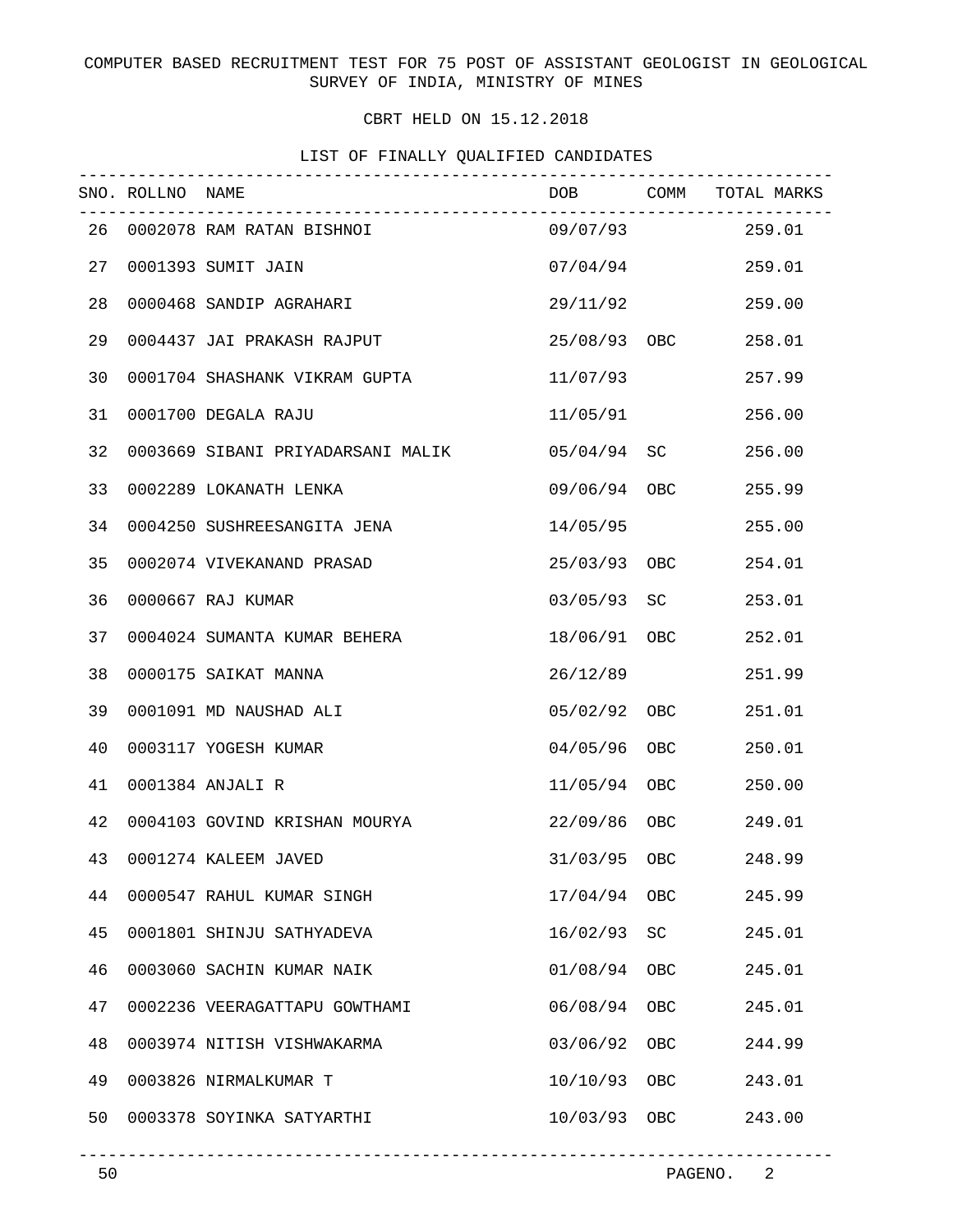# COMPUTER BASED RECRUITMENT TEST FOR 75 POST OF ASSISTANT GEOLOGIST IN GEOLOGICAL SURVEY OF INDIA, MINISTRY OF MINES

# CBRT HELD ON 15.12.2018

| LIST OF FINALLY QUALIFIED CANDIDATES |  |  |  |
|--------------------------------------|--|--|--|
|                                      |  |  |  |

|    | SNO. ROLLNO NAME | _____________________________________ |              |            | DOB COMM TOTAL MARKS |
|----|------------------|---------------------------------------|--------------|------------|----------------------|
|    |                  | 26 0002078 RAM RATAN BISHNOI          |              |            | 09/07/93 259.01      |
| 27 |                  | 0001393 SUMIT JAIN                    | 07/04/94     |            | 259.01               |
| 28 |                  | 0000468 SANDIP AGRAHARI               | 29/11/92     |            | 259.00               |
| 29 |                  | 0004437 JAI PRAKASH RAJPUT            | 25/08/93 OBC |            | 258.01               |
| 30 |                  | 0001704 SHASHANK VIKRAM GUPTA         | 11/07/93     |            | 257.99               |
| 31 |                  | 0001700 DEGALA RAJU                   | 11/05/91     |            | 256.00               |
| 32 |                  | 0003669 SIBANI PRIYADARSANI MALIK     | 05/04/94 SC  |            | 256.00               |
| 33 |                  | 0002289 LOKANATH LENKA                | 09/06/94 OBC |            | 255.99               |
| 34 |                  | 0004250 SUSHREESANGITA JENA           | 14/05/95     |            | 255.00               |
| 35 |                  | 0002074 VIVEKANAND PRASAD             | 25/03/93 OBC |            | 254.01               |
| 36 |                  | 0000667 RAJ KUMAR                     | 03/05/93 SC  |            | 253.01               |
| 37 |                  | 0004024 SUMANTA KUMAR BEHERA          | 18/06/91 OBC |            | 252.01               |
| 38 |                  | 0000175 SAIKAT MANNA                  | 26/12/89     |            | 251.99               |
| 39 |                  | 0001091 MD NAUSHAD ALI                | 05/02/92 OBC |            | 251.01               |
| 40 |                  | 0003117 YOGESH KUMAR                  | 04/05/96 OBC |            | 250.01               |
| 41 |                  | 0001384 ANJALI R                      | 11/05/94 OBC |            | 250.00               |
| 42 |                  | 0004103 GOVIND KRISHAN MOURYA         | 22/09/86 OBC |            | 249.01               |
| 43 |                  | 0001274 KALEEM JAVED                  | 31/03/95 OBC |            | 248.99               |
| 44 |                  | 0000547 RAHUL KUMAR SINGH             | 17/04/94     | OBC        | 245.99               |
| 45 |                  | 0001801 SHINJU SATHYADEVA             | 16/02/93     | SC         | 245.01               |
| 46 |                  | 0003060 SACHIN KUMAR NAIK             | 01/08/94     | <b>OBC</b> | 245.01               |
| 47 |                  | 0002236 VEERAGATTAPU GOWTHAMI         | 06/08/94     | <b>OBC</b> | 245.01               |
| 48 |                  | 0003974 NITISH VISHWAKARMA            | 03/06/92     | <b>OBC</b> | 244.99               |
| 49 |                  | 0003826 NIRMALKUMAR T                 | 10/10/93     | OBC        | 243.01               |
| 50 |                  | 0003378 SOYINKA SATYARTHI             | 10/03/93 OBC |            | 243.00               |
|    |                  |                                       |              |            |                      |